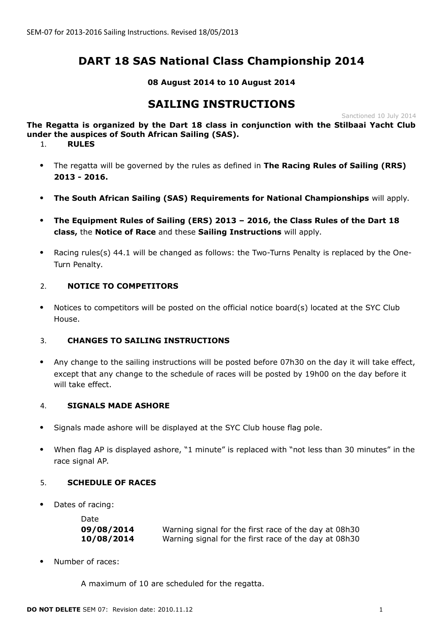# **DART 18 SAS National Class Championship 2014**

# **08 August 2014 to 10 August 2014**

# **SAILING INSTRUCTIONS**

Sanctioned 10 July 2014

**The Regatta is organized by the Dart 18 class in conjunction with the Stilbaai Yacht Club under the auspices of South African Sailing (SAS).**

1. **RULES**

- The regatta will be governed by the rules as defined in **The Racing Rules of Sailing (RRS) 2013 - 2016.**
- **The South African Sailing (SAS) Requirements for National Championships** will apply.
- **The Equipment Rules of Sailing (ERS) 2013 2016, the Class Rules of the Dart 18 class,** the **Notice of Race** and these **Sailing Instructions** will apply.
- Racing rules(s) 44.1 will be changed as follows: the Two-Turns Penalty is replaced by the One-Turn Penalty.

# 2. **NOTICE TO COMPETITORS**

 Notices to competitors will be posted on the official notice board(s) located at the SYC Club House.

# 3. **CHANGES TO SAILING INSTRUCTIONS**

 Any change to the sailing instructions will be posted before 07h30 on the day it will take effect, except that any change to the schedule of races will be posted by 19h00 on the day before it will take effect.

# 4. **SIGNALS MADE ASHORE**

- Signals made ashore will be displayed at the SYC Club house flag pole.
- When flag AP is displayed ashore, "1 minute" is replaced with "not less than 30 minutes" in the race signal AP.

# 5. **SCHEDULE OF RACES**

Dates of racing:

| Date       |                                                       |
|------------|-------------------------------------------------------|
| 09/08/2014 | Warning signal for the first race of the day at 08h30 |
| 10/08/2014 | Warning signal for the first race of the day at 08h30 |

Number of races:

A maximum of 10 are scheduled for the regatta.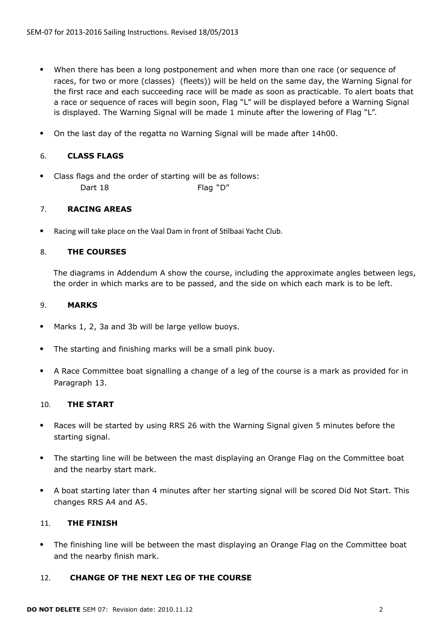- When there has been a long postponement and when more than one race (or sequence of races, for two or more (classes) (fleets)) will be held on the same day, the Warning Signal for the first race and each succeeding race will be made as soon as practicable. To alert boats that a race or sequence of races will begin soon, Flag "L" will be displayed before a Warning Signal is displayed. The Warning Signal will be made 1 minute after the lowering of Flag "L".
- On the last day of the regatta no Warning Signal will be made after 14h00.

# 6. **CLASS FLAGS**

 Class flags and the order of starting will be as follows: Dart 18 Flag "D"

# 7. **RACING AREAS**

Racing will take place on the Vaal Dam in front of Stilbaai Yacht Club.

# 8. **THE COURSES**

The diagrams in Addendum A show the course, including the approximate angles between legs, the order in which marks are to be passed, and the side on which each mark is to be left.

#### 9. **MARKS**

- Marks 1, 2, 3a and 3b will be large yellow buoys.
- The starting and finishing marks will be a small pink buoy.
- A Race Committee boat signalling a change of a leg of the course is a mark as provided for in Paragraph 13.

# 10. **THE START**

- Races will be started by using RRS 26 with the Warning Signal given 5 minutes before the starting signal.
- The starting line will be between the mast displaying an Orange Flag on the Committee boat and the nearby start mark.
- A boat starting later than 4 minutes after her starting signal will be scored Did Not Start. This changes RRS A4 and A5.

# 11. **THE FINISH**

 The finishing line will be between the mast displaying an Orange Flag on the Committee boat and the nearby finish mark.

#### 12. **CHANGE OF THE NEXT LEG OF THE COURSE**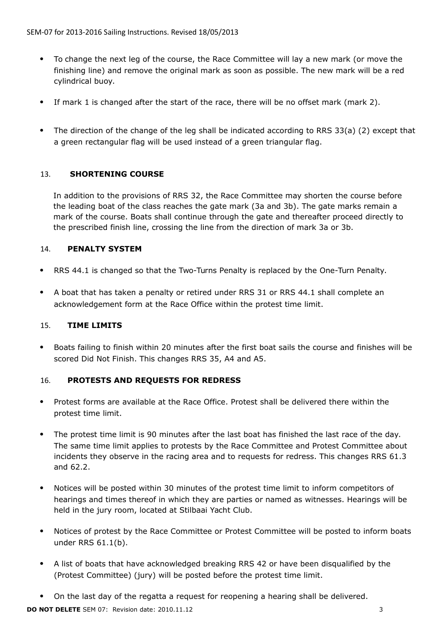- To change the next leg of the course, the Race Committee will lay a new mark (or move the finishing line) and remove the original mark as soon as possible. The new mark will be a red cylindrical buoy.
- If mark 1 is changed after the start of the race, there will be no offset mark (mark 2).
- The direction of the change of the leg shall be indicated according to RRS 33(a) (2) except that a green rectangular flag will be used instead of a green triangular flag.

# 13. **SHORTENING COURSE**

In addition to the provisions of RRS 32, the Race Committee may shorten the course before the leading boat of the class reaches the gate mark (3a and 3b). The gate marks remain a mark of the course. Boats shall continue through the gate and thereafter proceed directly to the prescribed finish line, crossing the line from the direction of mark 3a or 3b.

# 14. **PENALTY SYSTEM**

- RRS 44.1 is changed so that the Two-Turns Penalty is replaced by the One-Turn Penalty.
- A boat that has taken a penalty or retired under RRS 31 or RRS 44.1 shall complete an acknowledgement form at the Race Office within the protest time limit.

# 15. **TIME LIMITS**

 Boats failing to finish within 20 minutes after the first boat sails the course and finishes will be scored Did Not Finish. This changes RRS 35, A4 and A5.

# 16. **PROTESTS AND REQUESTS FOR REDRESS**

- Protest forms are available at the Race Office. Protest shall be delivered there within the protest time limit.
- The protest time limit is 90 minutes after the last boat has finished the last race of the day. The same time limit applies to protests by the Race Committee and Protest Committee about incidents they observe in the racing area and to requests for redress. This changes RRS 61.3 and 62.2.
- Notices will be posted within 30 minutes of the protest time limit to inform competitors of hearings and times thereof in which they are parties or named as witnesses. Hearings will be held in the jury room, located at Stilbaai Yacht Club.
- Notices of protest by the Race Committee or Protest Committee will be posted to inform boats under RRS 61.1(b).
- A list of boats that have acknowledged breaking RRS 42 or have been disqualified by the (Protest Committee) (jury) will be posted before the protest time limit.
- On the last day of the regatta a request for reopening a hearing shall be delivered.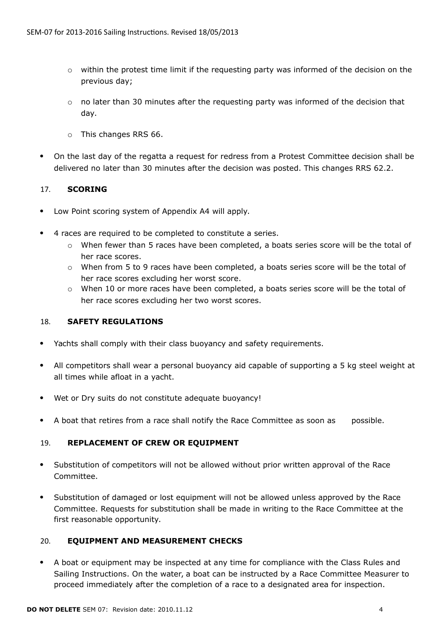- o within the protest time limit if the requesting party was informed of the decision on the previous day;
- $\circ$  no later than 30 minutes after the requesting party was informed of the decision that day.
- o This changes RRS 66.
- On the last day of the regatta a request for redress from a Protest Committee decision shall be delivered no later than 30 minutes after the decision was posted. This changes RRS 62.2.

# 17. **SCORING**

- Low Point scoring system of Appendix A4 will apply.
- 4 races are required to be completed to constitute a series.
	- $\circ$  When fewer than 5 races have been completed, a boats series score will be the total of her race scores.
	- o When from 5 to 9 races have been completed, a boats series score will be the total of her race scores excluding her worst score.
	- o When 10 or more races have been completed, a boats series score will be the total of her race scores excluding her two worst scores.

# 18. **SAFETY REGULATIONS**

- Yachts shall comply with their class buoyancy and safety requirements.
- All competitors shall wear a personal buoyancy aid capable of supporting a 5 kg steel weight at all times while afloat in a yacht.
- Wet or Dry suits do not constitute adequate buoyancy!
- A boat that retires from a race shall notify the Race Committee as soon as possible.

# 19. **REPLACEMENT OF CREW OR EQUIPMENT**

- Substitution of competitors will not be allowed without prior written approval of the Race Committee.
- Substitution of damaged or lost equipment will not be allowed unless approved by the Race Committee. Requests for substitution shall be made in writing to the Race Committee at the first reasonable opportunity.

# 20. **EQUIPMENT AND MEASUREMENT CHECKS**

 A boat or equipment may be inspected at any time for compliance with the Class Rules and Sailing Instructions. On the water, a boat can be instructed by a Race Committee Measurer to proceed immediately after the completion of a race to a designated area for inspection.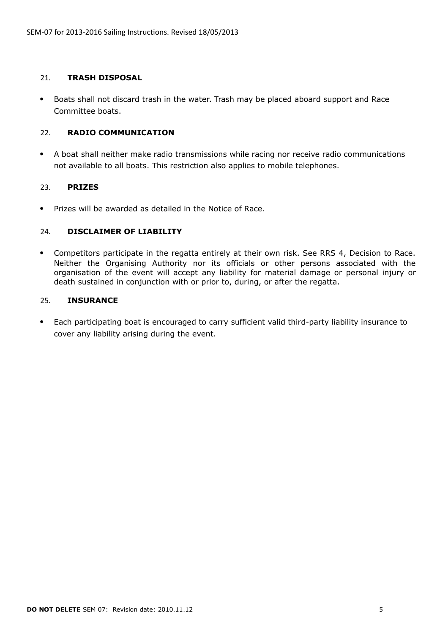#### 21. **TRASH DISPOSAL**

 Boats shall not discard trash in the water. Trash may be placed aboard support and Race Committee boats.

# 22. **RADIO COMMUNICATION**

 A boat shall neither make radio transmissions while racing nor receive radio communications not available to all boats. This restriction also applies to mobile telephones.

# 23. **PRIZES**

• Prizes will be awarded as detailed in the Notice of Race.

# 24. **DISCLAIMER OF LIABILITY**

 Competitors participate in the regatta entirely at their own risk. See RRS 4, Decision to Race. Neither the Organising Authority nor its officials or other persons associated with the organisation of the event will accept any liability for material damage or personal injury or death sustained in conjunction with or prior to, during, or after the regatta.

#### 25. **INSURANCE**

 Each participating boat is encouraged to carry sufficient valid third-party liability insurance to cover any liability arising during the event.